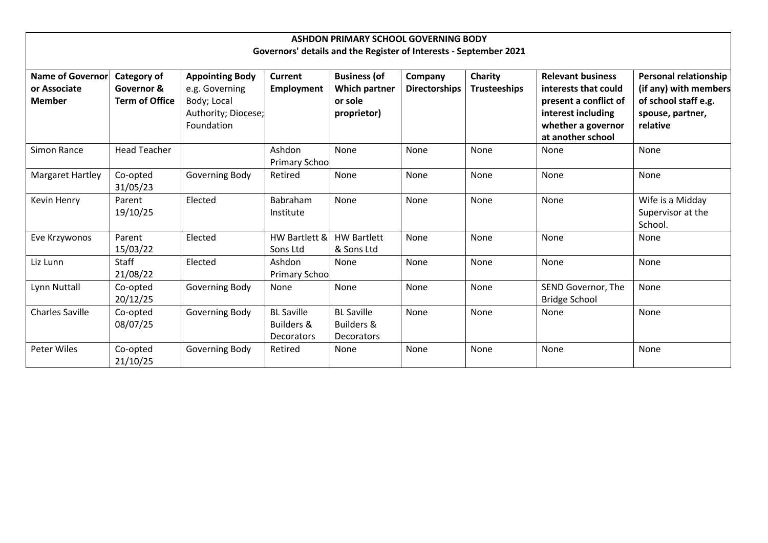| ASHDON PRIMARY SCHOOL GOVERNING BODY                              |                                                           |                                                                                              |                                                                 |                                                                       |                                 |                                       |                                                                                                                                            |                                                                                                               |  |  |  |  |
|-------------------------------------------------------------------|-----------------------------------------------------------|----------------------------------------------------------------------------------------------|-----------------------------------------------------------------|-----------------------------------------------------------------------|---------------------------------|---------------------------------------|--------------------------------------------------------------------------------------------------------------------------------------------|---------------------------------------------------------------------------------------------------------------|--|--|--|--|
| Governors' details and the Register of Interests - September 2021 |                                                           |                                                                                              |                                                                 |                                                                       |                                 |                                       |                                                                                                                                            |                                                                                                               |  |  |  |  |
| <b>Name of Governor</b><br>or Associate<br><b>Member</b>          | <b>Category of</b><br>Governor &<br><b>Term of Office</b> | <b>Appointing Body</b><br>e.g. Governing<br>Body; Local<br>Authority; Diocese;<br>Foundation | Current<br><b>Employment</b>                                    | <b>Business (of</b><br><b>Which partner</b><br>or sole<br>proprietor) | Company<br><b>Directorships</b> | <b>Charity</b><br><b>Trusteeships</b> | <b>Relevant business</b><br>interests that could<br>present a conflict of<br>interest including<br>whether a governor<br>at another school | <b>Personal relationship</b><br>(if any) with members<br>of school staff e.g.<br>spouse, partner,<br>relative |  |  |  |  |
| Simon Rance                                                       | <b>Head Teacher</b>                                       |                                                                                              | Ashdon<br><b>Primary School</b>                                 | None                                                                  | None                            | None                                  | None                                                                                                                                       | None                                                                                                          |  |  |  |  |
| Margaret Hartley                                                  | Co-opted<br>31/05/23                                      | Governing Body                                                                               | Retired                                                         | None                                                                  | None                            | None                                  | None                                                                                                                                       | None                                                                                                          |  |  |  |  |
| <b>Kevin Henry</b>                                                | Parent<br>19/10/25                                        | Elected                                                                                      | Babraham<br>Institute                                           | None                                                                  | None                            | None                                  | None                                                                                                                                       | Wife is a Midday<br>Supervisor at the<br>School.                                                              |  |  |  |  |
| Eve Krzywonos                                                     | Parent<br>15/03/22                                        | Elected                                                                                      | HW Bartlett &<br>Sons Ltd                                       | <b>HW Bartlett</b><br>& Sons Ltd                                      | None                            | None                                  | None                                                                                                                                       | None                                                                                                          |  |  |  |  |
| Liz Lunn                                                          | Staff<br>21/08/22                                         | Elected                                                                                      | Ashdon<br><b>Primary School</b>                                 | None                                                                  | None                            | None                                  | None                                                                                                                                       | None                                                                                                          |  |  |  |  |
| Lynn Nuttall                                                      | Co-opted<br>20/12/25                                      | Governing Body                                                                               | None                                                            | None                                                                  | None                            | None                                  | SEND Governor, The<br><b>Bridge School</b>                                                                                                 | None                                                                                                          |  |  |  |  |
| <b>Charles Saville</b>                                            | Co-opted<br>08/07/25                                      | Governing Body                                                                               | <b>BL Saville</b><br><b>Builders &amp;</b><br><b>Decorators</b> | <b>BL Saville</b><br><b>Builders &amp;</b><br>Decorators              | None                            | None                                  | None                                                                                                                                       | None                                                                                                          |  |  |  |  |
| Peter Wiles                                                       | Co-opted<br>21/10/25                                      | Governing Body                                                                               | Retired                                                         | None                                                                  | None                            | None                                  | None                                                                                                                                       | None                                                                                                          |  |  |  |  |